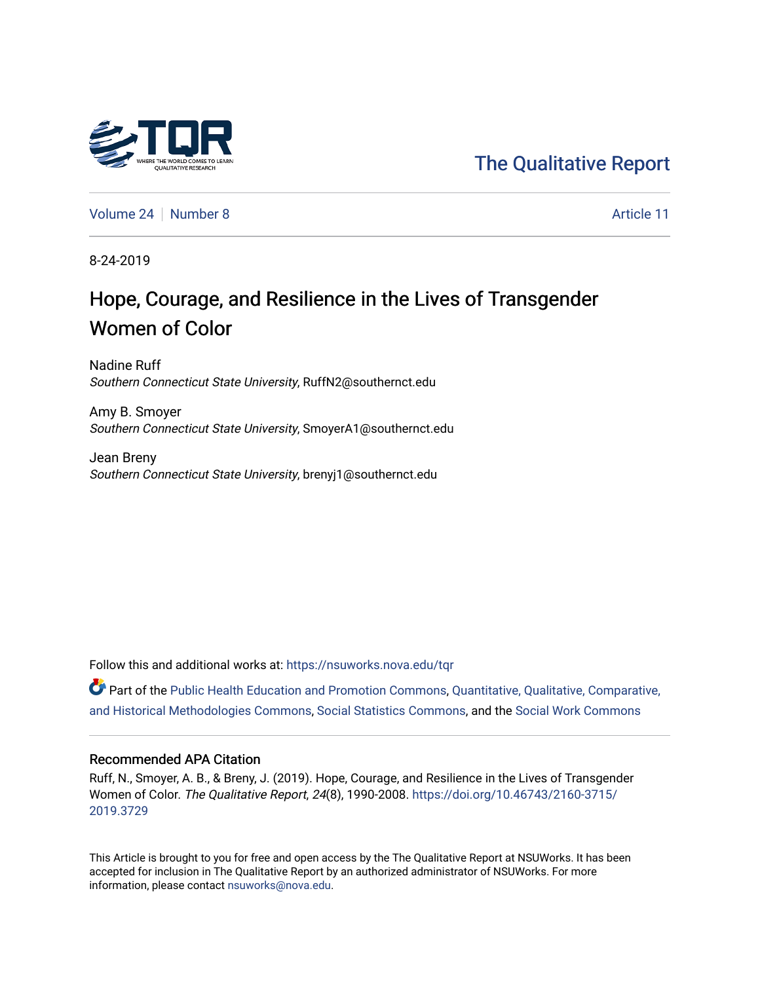

[The Qualitative Report](https://nsuworks.nova.edu/tqr) 

[Volume 24](https://nsuworks.nova.edu/tqr/vol24) [Number 8](https://nsuworks.nova.edu/tqr/vol24/iss8) Article 11

8-24-2019

# Hope, Courage, and Resilience in the Lives of Transgender Women of Color

Nadine Ruff Southern Connecticut State University, RuffN2@southernct.edu

Amy B. Smoyer Southern Connecticut State University, SmoyerA1@southernct.edu

Jean Breny Southern Connecticut State University, brenyj1@southernct.edu

Follow this and additional works at: [https://nsuworks.nova.edu/tqr](https://nsuworks.nova.edu/tqr?utm_source=nsuworks.nova.edu%2Ftqr%2Fvol24%2Fiss8%2F11&utm_medium=PDF&utm_campaign=PDFCoverPages) 

Part of the [Public Health Education and Promotion Commons,](http://network.bepress.com/hgg/discipline/743?utm_source=nsuworks.nova.edu%2Ftqr%2Fvol24%2Fiss8%2F11&utm_medium=PDF&utm_campaign=PDFCoverPages) [Quantitative, Qualitative, Comparative,](http://network.bepress.com/hgg/discipline/423?utm_source=nsuworks.nova.edu%2Ftqr%2Fvol24%2Fiss8%2F11&utm_medium=PDF&utm_campaign=PDFCoverPages) [and Historical Methodologies Commons](http://network.bepress.com/hgg/discipline/423?utm_source=nsuworks.nova.edu%2Ftqr%2Fvol24%2Fiss8%2F11&utm_medium=PDF&utm_campaign=PDFCoverPages), [Social Statistics Commons](http://network.bepress.com/hgg/discipline/1275?utm_source=nsuworks.nova.edu%2Ftqr%2Fvol24%2Fiss8%2F11&utm_medium=PDF&utm_campaign=PDFCoverPages), and the [Social Work Commons](http://network.bepress.com/hgg/discipline/713?utm_source=nsuworks.nova.edu%2Ftqr%2Fvol24%2Fiss8%2F11&utm_medium=PDF&utm_campaign=PDFCoverPages) 

# Recommended APA Citation

Ruff, N., Smoyer, A. B., & Breny, J. (2019). Hope, Courage, and Resilience in the Lives of Transgender Women of Color. The Qualitative Report, 24(8), 1990-2008. [https://doi.org/10.46743/2160-3715/](https://doi.org/10.46743/2160-3715/2019.3729) [2019.3729](https://doi.org/10.46743/2160-3715/2019.3729) 

This Article is brought to you for free and open access by the The Qualitative Report at NSUWorks. It has been accepted for inclusion in The Qualitative Report by an authorized administrator of NSUWorks. For more information, please contact [nsuworks@nova.edu.](mailto:nsuworks@nova.edu)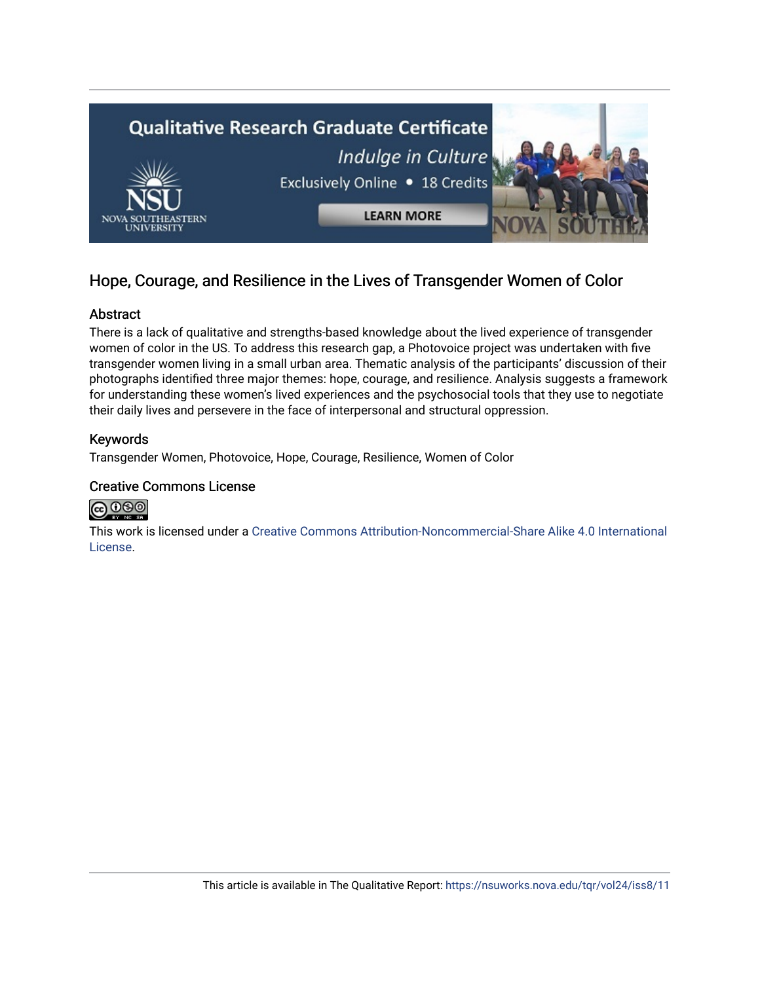

# Hope, Courage, and Resilience in the Lives of Transgender Women of Color

# Abstract

There is a lack of qualitative and strengths-based knowledge about the lived experience of transgender women of color in the US. To address this research gap, a Photovoice project was undertaken with five transgender women living in a small urban area. Thematic analysis of the participants' discussion of their photographs identified three major themes: hope, courage, and resilience. Analysis suggests a framework for understanding these women's lived experiences and the psychosocial tools that they use to negotiate their daily lives and persevere in the face of interpersonal and structural oppression.

# Keywords

Transgender Women, Photovoice, Hope, Courage, Resilience, Women of Color

# Creative Commons License



This work is licensed under a [Creative Commons Attribution-Noncommercial-Share Alike 4.0 International](https://creativecommons.org/licenses/by-nc-sa/4.0/)  [License](https://creativecommons.org/licenses/by-nc-sa/4.0/).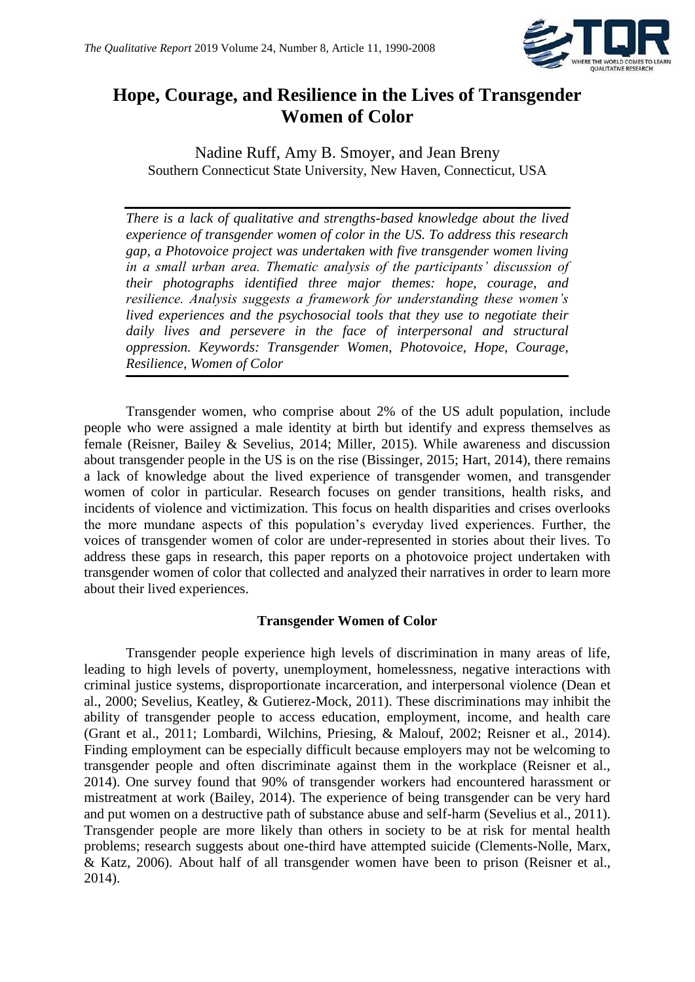

# **Hope, Courage, and Resilience in the Lives of Transgender Women of Color**

Nadine Ruff, Amy B. Smoyer, and Jean Breny Southern Connecticut State University, New Haven, Connecticut, USA

*There is a lack of qualitative and strengths-based knowledge about the lived experience of transgender women of color in the US. To address this research gap, a Photovoice project was undertaken with five transgender women living in a small urban area. Thematic analysis of the participants' discussion of their photographs identified three major themes: hope, courage, and resilience. Analysis suggests a framework for understanding these women's lived experiences and the psychosocial tools that they use to negotiate their daily lives and persevere in the face of interpersonal and structural oppression. Keywords: Transgender Women, Photovoice, Hope, Courage, Resilience, Women of Color*

Transgender women, who comprise about 2% of the US adult population, include people who were assigned a male identity at birth but identify and express themselves as female (Reisner, Bailey & Sevelius, 2014; Miller, 2015). While awareness and discussion about transgender people in the US is on the rise (Bissinger, 2015; Hart, 2014), there remains a lack of knowledge about the lived experience of transgender women, and transgender women of color in particular. Research focuses on gender transitions, health risks, and incidents of violence and victimization. This focus on health disparities and crises overlooks the more mundane aspects of this population's everyday lived experiences. Further, the voices of transgender women of color are under-represented in stories about their lives. To address these gaps in research, this paper reports on a photovoice project undertaken with transgender women of color that collected and analyzed their narratives in order to learn more about their lived experiences.

# **Transgender Women of Color**

Transgender people experience high levels of discrimination in many areas of life, leading to high levels of poverty, unemployment, homelessness, negative interactions with criminal justice systems, disproportionate incarceration, and interpersonal violence (Dean et al., 2000; Sevelius, Keatley, & Gutierez-Mock, 2011). These discriminations may inhibit the ability of transgender people to access education, employment, income, and health care (Grant et al., 2011; Lombardi, Wilchins, Priesing, & Malouf, 2002; Reisner et al., 2014). Finding employment can be especially difficult because employers may not be welcoming to transgender people and often discriminate against them in the workplace (Reisner et al., 2014). One survey found that 90% of transgender workers had encountered harassment or mistreatment at work (Bailey, 2014). The experience of being transgender can be very hard and put women on a destructive path of substance abuse and self-harm (Sevelius et al., 2011). Transgender people are more likely than others in society to be at risk for mental health problems; research suggests about one-third have attempted suicide (Clements-Nolle, Marx, & Katz, 2006). About half of all transgender women have been to prison (Reisner et al., 2014).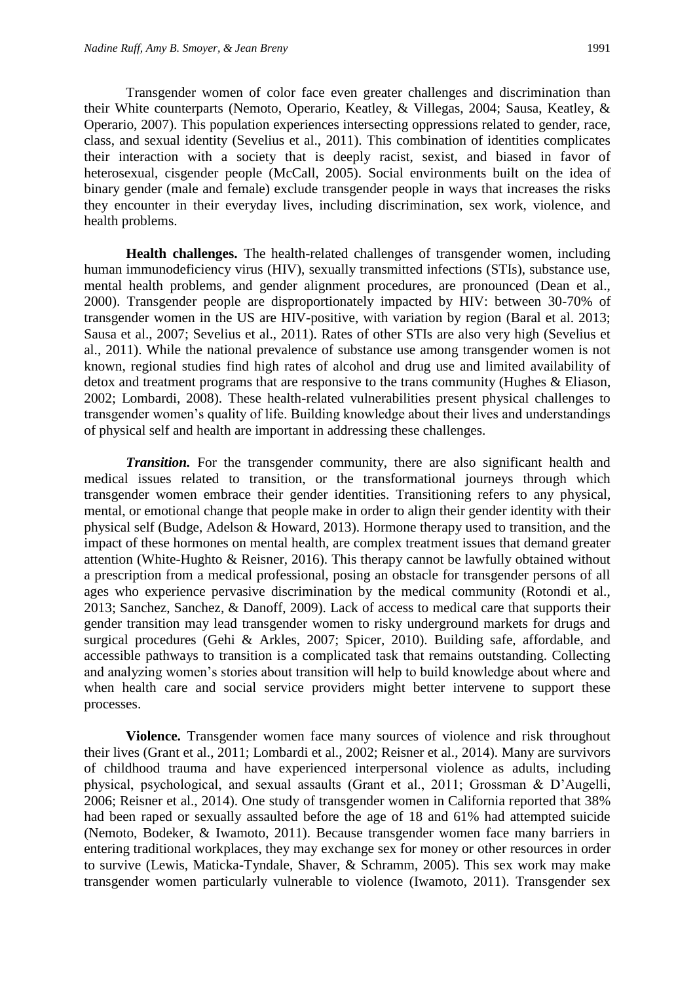Transgender women of color face even greater challenges and discrimination than their White counterparts (Nemoto, Operario, Keatley, & Villegas, 2004; Sausa, Keatley, & Operario, 2007). This population experiences intersecting oppressions related to gender, race, class, and sexual identity (Sevelius et al., 2011). This combination of identities complicates their interaction with a society that is deeply racist, sexist, and biased in favor of heterosexual, cisgender people (McCall, 2005). Social environments built on the idea of binary gender (male and female) exclude transgender people in ways that increases the risks they encounter in their everyday lives, including discrimination, sex work, violence, and health problems.

**Health challenges.** The health-related challenges of transgender women, including human immunodeficiency virus (HIV), sexually transmitted infections (STIs), substance use, mental health problems, and gender alignment procedures, are pronounced (Dean et al., 2000). Transgender people are disproportionately impacted by HIV: between 30-70% of transgender women in the US are HIV-positive, with variation by region (Baral et al. 2013; Sausa et al., 2007; Sevelius et al., 2011). Rates of other STIs are also very high (Sevelius et al., 2011). While the national prevalence of substance use among transgender women is not known, regional studies find high rates of alcohol and drug use and limited availability of detox and treatment programs that are responsive to the trans community (Hughes & Eliason, 2002; Lombardi, 2008). These health-related vulnerabilities present physical challenges to transgender women's quality of life. Building knowledge about their lives and understandings of physical self and health are important in addressing these challenges.

*Transition.* For the transgender community, there are also significant health and medical issues related to transition, or the transformational journeys through which transgender women embrace their gender identities. Transitioning refers to any physical, mental, or emotional change that people make in order to align their gender identity with their physical self (Budge, Adelson & Howard, 2013). Hormone therapy used to transition, and the impact of these hormones on mental health, are complex treatment issues that demand greater attention (White-Hughto & Reisner, 2016). This therapy cannot be lawfully obtained without a prescription from a medical professional, posing an obstacle for transgender persons of all ages who experience pervasive discrimination by the medical community (Rotondi et al., 2013; Sanchez, Sanchez, & Danoff, 2009). Lack of access to medical care that supports their gender transition may lead transgender women to risky underground markets for drugs and surgical procedures (Gehi & Arkles, 2007; Spicer, 2010). Building safe, affordable, and accessible pathways to transition is a complicated task that remains outstanding. Collecting and analyzing women's stories about transition will help to build knowledge about where and when health care and social service providers might better intervene to support these processes.

**Violence.** Transgender women face many sources of violence and risk throughout their lives (Grant et al., 2011; Lombardi et al., 2002; Reisner et al., 2014). Many are survivors of childhood trauma and have experienced interpersonal violence as adults, including physical, psychological, and sexual assaults (Grant et al., 2011; Grossman & D'Augelli, 2006; Reisner et al., 2014). One study of transgender women in California reported that 38% had been raped or sexually assaulted before the age of 18 and 61% had attempted suicide (Nemoto, Bodeker, & Iwamoto, 2011). Because transgender women face many barriers in entering traditional workplaces, they may exchange sex for money or other resources in order to survive (Lewis, Maticka-Tyndale, Shaver, & Schramm, 2005). This sex work may make transgender women particularly vulnerable to violence (Iwamoto, 2011). Transgender sex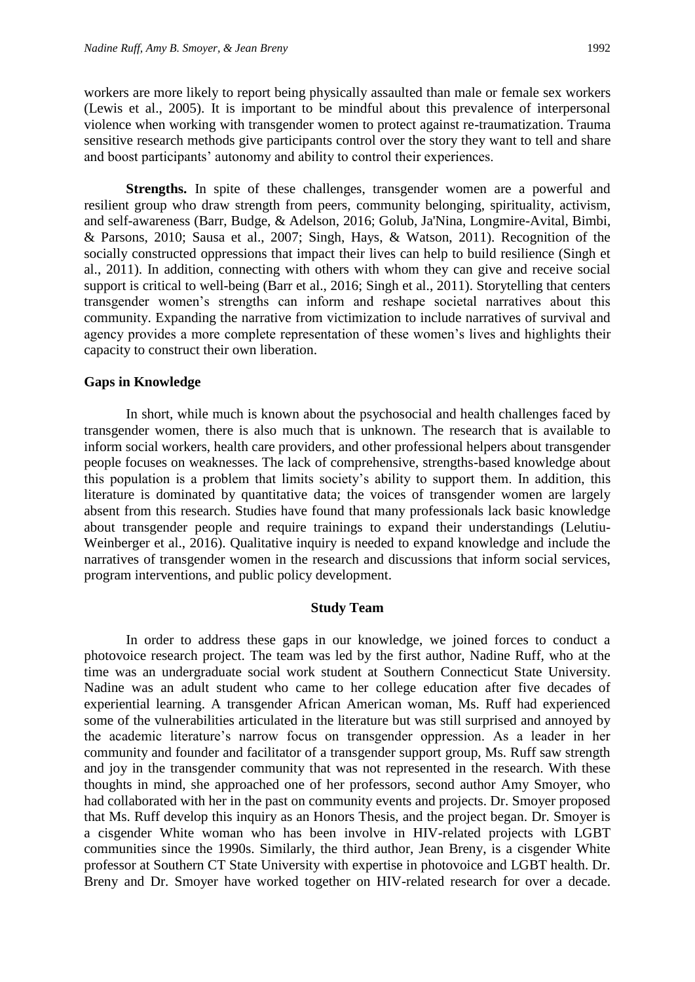workers are more likely to report being physically assaulted than male or female sex workers (Lewis et al., 2005). It is important to be mindful about this prevalence of interpersonal violence when working with transgender women to protect against re-traumatization. Trauma sensitive research methods give participants control over the story they want to tell and share

**Strengths.** In spite of these challenges, transgender women are a powerful and resilient group who draw strength from peers, community belonging, spirituality, activism, and self-awareness (Barr, Budge, & Adelson, 2016; Golub, Ja'Nina, Longmire-Avital, Bimbi, & Parsons, 2010; Sausa et al., 2007; Singh, Hays, & Watson, 2011). Recognition of the socially constructed oppressions that impact their lives can help to build resilience (Singh et al., 2011). In addition, connecting with others with whom they can give and receive social support is critical to well-being (Barr et al., 2016; Singh et al., 2011). Storytelling that centers transgender women's strengths can inform and reshape societal narratives about this community. Expanding the narrative from victimization to include narratives of survival and agency provides a more complete representation of these women's lives and highlights their capacity to construct their own liberation.

and boost participants' autonomy and ability to control their experiences.

#### **Gaps in Knowledge**

In short, while much is known about the psychosocial and health challenges faced by transgender women, there is also much that is unknown. The research that is available to inform social workers, health care providers, and other professional helpers about transgender people focuses on weaknesses. The lack of comprehensive, strengths-based knowledge about this population is a problem that limits society's ability to support them. In addition, this literature is dominated by quantitative data; the voices of transgender women are largely absent from this research. Studies have found that many professionals lack basic knowledge about transgender people and require trainings to expand their understandings (Lelutiu-Weinberger et al., 2016). Qualitative inquiry is needed to expand knowledge and include the narratives of transgender women in the research and discussions that inform social services, program interventions, and public policy development.

# **Study Team**

In order to address these gaps in our knowledge, we joined forces to conduct a photovoice research project. The team was led by the first author, Nadine Ruff, who at the time was an undergraduate social work student at Southern Connecticut State University. Nadine was an adult student who came to her college education after five decades of experiential learning. A transgender African American woman, Ms. Ruff had experienced some of the vulnerabilities articulated in the literature but was still surprised and annoyed by the academic literature's narrow focus on transgender oppression. As a leader in her community and founder and facilitator of a transgender support group, Ms. Ruff saw strength and joy in the transgender community that was not represented in the research. With these thoughts in mind, she approached one of her professors, second author Amy Smoyer, who had collaborated with her in the past on community events and projects. Dr. Smoyer proposed that Ms. Ruff develop this inquiry as an Honors Thesis, and the project began. Dr. Smoyer is a cisgender White woman who has been involve in HIV-related projects with LGBT communities since the 1990s. Similarly, the third author, Jean Breny, is a cisgender White professor at Southern CT State University with expertise in photovoice and LGBT health. Dr. Breny and Dr. Smoyer have worked together on HIV-related research for over a decade.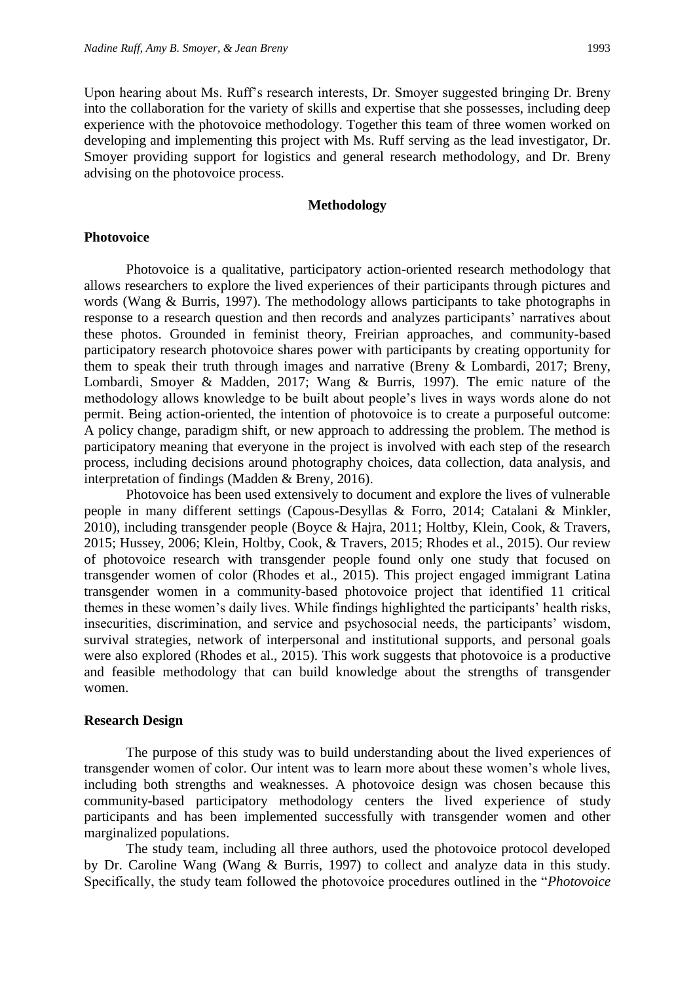Upon hearing about Ms. Ruff's research interests, Dr. Smoyer suggested bringing Dr. Breny into the collaboration for the variety of skills and expertise that she possesses, including deep experience with the photovoice methodology. Together this team of three women worked on developing and implementing this project with Ms. Ruff serving as the lead investigator, Dr. Smoyer providing support for logistics and general research methodology, and Dr. Breny advising on the photovoice process.

#### **Methodology**

# **Photovoice**

Photovoice is a qualitative, participatory action-oriented research methodology that allows researchers to explore the lived experiences of their participants through pictures and words (Wang & Burris, 1997). The methodology allows participants to take photographs in response to a research question and then records and analyzes participants' narratives about these photos. Grounded in feminist theory, Freirian approaches, and community-based participatory research photovoice shares power with participants by creating opportunity for them to speak their truth through images and narrative (Breny & Lombardi, 2017; Breny, Lombardi, Smoyer & Madden, 2017; Wang & Burris, 1997). The emic nature of the methodology allows knowledge to be built about people's lives in ways words alone do not permit. Being action-oriented, the intention of photovoice is to create a purposeful outcome: A policy change, paradigm shift, or new approach to addressing the problem. The method is participatory meaning that everyone in the project is involved with each step of the research process, including decisions around photography choices, data collection, data analysis, and interpretation of findings (Madden & Breny, 2016).

Photovoice has been used extensively to document and explore the lives of vulnerable people in many different settings (Capous-Desyllas & Forro, 2014; Catalani & Minkler, 2010), including transgender people (Boyce & Hajra, 2011; Holtby, Klein, Cook, & Travers, 2015; Hussey, 2006; Klein, Holtby, Cook, & Travers, 2015; Rhodes et al., 2015). Our review of photovoice research with transgender people found only one study that focused on transgender women of color (Rhodes et al., 2015). This project engaged immigrant Latina transgender women in a community-based photovoice project that identified 11 critical themes in these women's daily lives. While findings highlighted the participants' health risks, insecurities, discrimination, and service and psychosocial needs, the participants' wisdom, survival strategies, network of interpersonal and institutional supports, and personal goals were also explored (Rhodes et al., 2015). This work suggests that photovoice is a productive and feasible methodology that can build knowledge about the strengths of transgender women.

# **Research Design**

The purpose of this study was to build understanding about the lived experiences of transgender women of color. Our intent was to learn more about these women's whole lives, including both strengths and weaknesses. A photovoice design was chosen because this community-based participatory methodology centers the lived experience of study participants and has been implemented successfully with transgender women and other marginalized populations.

The study team, including all three authors, used the photovoice protocol developed by Dr. Caroline Wang (Wang & Burris, 1997) to collect and analyze data in this study. Specifically, the study team followed the photovoice procedures outlined in the "*Photovoice*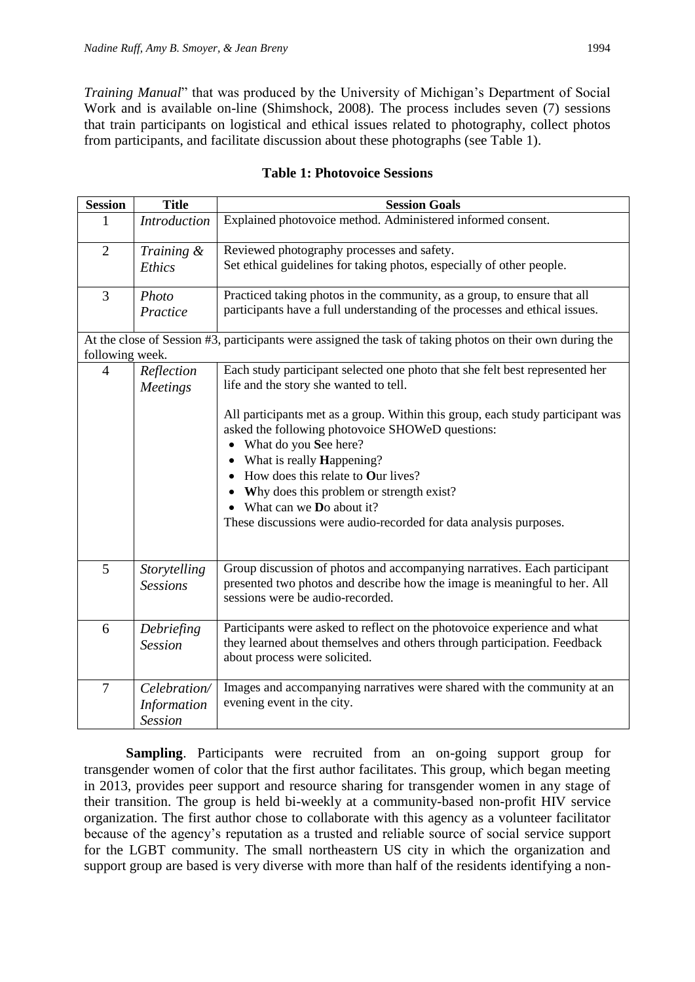*Training Manual*" that was produced by the University of Michigan's Department of Social Work and is available on-line (Shimshock, 2008). The process includes seven (7) sessions that train participants on logistical and ethical issues related to photography, collect photos from participants, and facilitate discussion about these photographs (see Table 1).

| <b>Session</b>                                                                                           | <b>Title</b>                    | <b>Session Goals</b>                                                                                                                                                                                                                                                                                                                                                                       |
|----------------------------------------------------------------------------------------------------------|---------------------------------|--------------------------------------------------------------------------------------------------------------------------------------------------------------------------------------------------------------------------------------------------------------------------------------------------------------------------------------------------------------------------------------------|
| 1                                                                                                        | <b>Introduction</b>             | Explained photovoice method. Administered informed consent.                                                                                                                                                                                                                                                                                                                                |
| $\mathfrak{2}$                                                                                           | Training &                      | Reviewed photography processes and safety.                                                                                                                                                                                                                                                                                                                                                 |
|                                                                                                          | Ethics                          | Set ethical guidelines for taking photos, especially of other people.                                                                                                                                                                                                                                                                                                                      |
| 3                                                                                                        | Photo                           | Practiced taking photos in the community, as a group, to ensure that all                                                                                                                                                                                                                                                                                                                   |
|                                                                                                          | Practice                        | participants have a full understanding of the processes and ethical issues.                                                                                                                                                                                                                                                                                                                |
| At the close of Session #3, participants were assigned the task of taking photos on their own during the |                                 |                                                                                                                                                                                                                                                                                                                                                                                            |
| following week.                                                                                          |                                 |                                                                                                                                                                                                                                                                                                                                                                                            |
| $\overline{4}$                                                                                           | Reflection                      | Each study participant selected one photo that she felt best represented her                                                                                                                                                                                                                                                                                                               |
|                                                                                                          | <b>Meetings</b>                 | life and the story she wanted to tell.                                                                                                                                                                                                                                                                                                                                                     |
|                                                                                                          |                                 | All participants met as a group. Within this group, each study participant was<br>asked the following photovoice SHOWeD questions:<br>What do you See here?<br>What is really <b>Happening?</b><br>How does this relate to Our lives?<br>Why does this problem or strength exist?<br>What can we <b>D</b> o about it?<br>These discussions were audio-recorded for data analysis purposes. |
| 5                                                                                                        | Storytelling<br><b>Sessions</b> | Group discussion of photos and accompanying narratives. Each participant<br>presented two photos and describe how the image is meaningful to her. All<br>sessions were be audio-recorded.                                                                                                                                                                                                  |
| 6                                                                                                        | Debriefing<br><b>Session</b>    | Participants were asked to reflect on the photovoice experience and what<br>they learned about themselves and others through participation. Feedback<br>about process were solicited.                                                                                                                                                                                                      |
| $\overline{7}$                                                                                           | Celebration/                    | Images and accompanying narratives were shared with the community at an                                                                                                                                                                                                                                                                                                                    |
|                                                                                                          | <b>Information</b>              | evening event in the city.                                                                                                                                                                                                                                                                                                                                                                 |
|                                                                                                          | <b>Session</b>                  |                                                                                                                                                                                                                                                                                                                                                                                            |

# **Table 1: Photovoice Sessions**

**Sampling**. Participants were recruited from an on-going support group for transgender women of color that the first author facilitates. This group, which began meeting in 2013, provides peer support and resource sharing for transgender women in any stage of their transition. The group is held bi-weekly at a community-based non-profit HIV service organization. The first author chose to collaborate with this agency as a volunteer facilitator because of the agency's reputation as a trusted and reliable source of social service support for the LGBT community. The small northeastern US city in which the organization and support group are based is very diverse with more than half of the residents identifying a non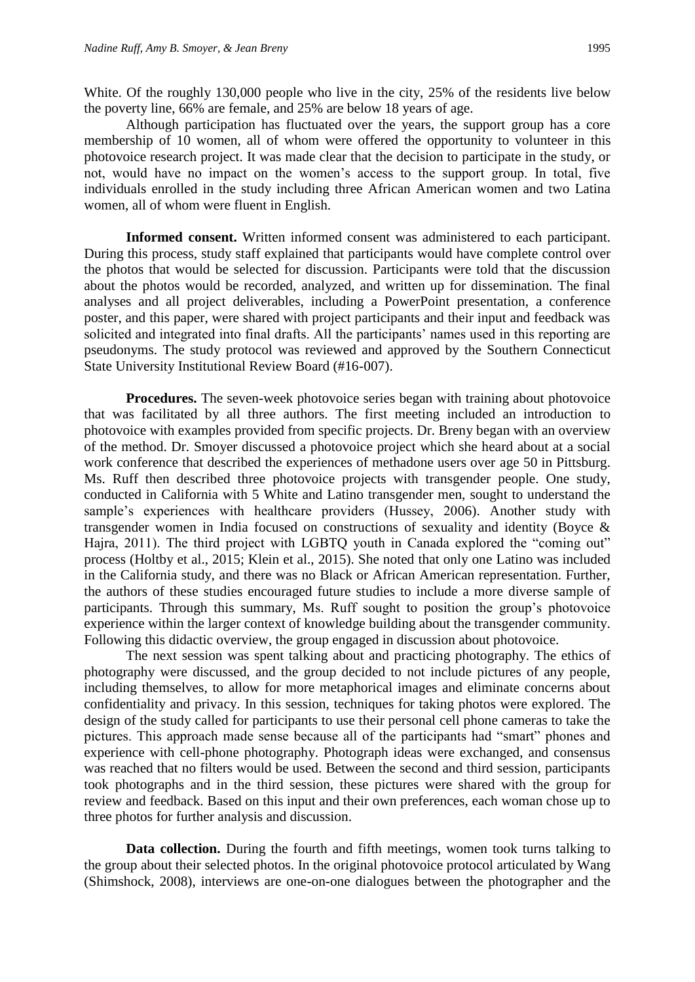White. Of the roughly 130,000 people who live in the city, 25% of the residents live below the poverty line, 66% are female, and 25% are below 18 years of age.

Although participation has fluctuated over the years, the support group has a core membership of 10 women, all of whom were offered the opportunity to volunteer in this photovoice research project. It was made clear that the decision to participate in the study, or not, would have no impact on the women's access to the support group. In total, five individuals enrolled in the study including three African American women and two Latina women, all of whom were fluent in English.

**Informed consent.** Written informed consent was administered to each participant. During this process, study staff explained that participants would have complete control over the photos that would be selected for discussion. Participants were told that the discussion about the photos would be recorded, analyzed, and written up for dissemination. The final analyses and all project deliverables, including a PowerPoint presentation, a conference poster, and this paper, were shared with project participants and their input and feedback was solicited and integrated into final drafts. All the participants' names used in this reporting are pseudonyms. The study protocol was reviewed and approved by the Southern Connecticut State University Institutional Review Board (#16-007).

**Procedures.** The seven-week photovoice series began with training about photovoice that was facilitated by all three authors. The first meeting included an introduction to photovoice with examples provided from specific projects. Dr. Breny began with an overview of the method. Dr. Smoyer discussed a photovoice project which she heard about at a social work conference that described the experiences of methadone users over age 50 in Pittsburg. Ms. Ruff then described three photovoice projects with transgender people. One study, conducted in California with 5 White and Latino transgender men, sought to understand the sample's experiences with healthcare providers (Hussey, 2006). Another study with transgender women in India focused on constructions of sexuality and identity (Boyce & Hajra, 2011). The third project with LGBTQ youth in Canada explored the "coming out" process (Holtby et al., 2015; Klein et al., 2015). She noted that only one Latino was included in the California study, and there was no Black or African American representation. Further, the authors of these studies encouraged future studies to include a more diverse sample of participants. Through this summary, Ms. Ruff sought to position the group's photovoice experience within the larger context of knowledge building about the transgender community. Following this didactic overview, the group engaged in discussion about photovoice.

The next session was spent talking about and practicing photography. The ethics of photography were discussed, and the group decided to not include pictures of any people, including themselves, to allow for more metaphorical images and eliminate concerns about confidentiality and privacy. In this session, techniques for taking photos were explored. The design of the study called for participants to use their personal cell phone cameras to take the pictures. This approach made sense because all of the participants had "smart" phones and experience with cell-phone photography. Photograph ideas were exchanged, and consensus was reached that no filters would be used. Between the second and third session, participants took photographs and in the third session, these pictures were shared with the group for review and feedback. Based on this input and their own preferences, each woman chose up to three photos for further analysis and discussion.

**Data collection.** During the fourth and fifth meetings, women took turns talking to the group about their selected photos. In the original photovoice protocol articulated by Wang (Shimshock, 2008), interviews are one-on-one dialogues between the photographer and the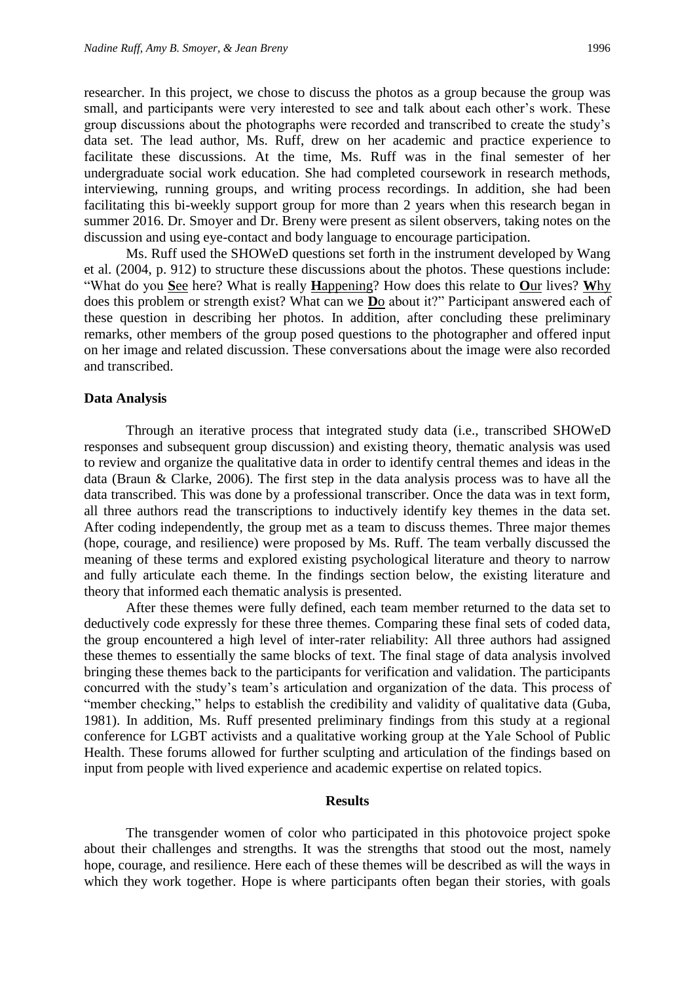researcher. In this project, we chose to discuss the photos as a group because the group was small, and participants were very interested to see and talk about each other's work. These group discussions about the photographs were recorded and transcribed to create the study's data set. The lead author, Ms. Ruff, drew on her academic and practice experience to facilitate these discussions. At the time, Ms. Ruff was in the final semester of her undergraduate social work education. She had completed coursework in research methods, interviewing, running groups, and writing process recordings. In addition, she had been facilitating this bi-weekly support group for more than 2 years when this research began in summer 2016. Dr. Smoyer and Dr. Breny were present as silent observers, taking notes on the discussion and using eye-contact and body language to encourage participation.

Ms. Ruff used the SHOWeD questions set forth in the instrument developed by Wang et al. (2004, p. 912) to structure these discussions about the photos. These questions include: "What do you **S**ee here? What is really **H**appening? How does this relate to **O**ur lives? **W**hy does this problem or strength exist? What can we **D**o about it?" Participant answered each of these question in describing her photos. In addition, after concluding these preliminary remarks, other members of the group posed questions to the photographer and offered input on her image and related discussion. These conversations about the image were also recorded and transcribed.

#### **Data Analysis**

Through an iterative process that integrated study data (i.e., transcribed SHOWeD responses and subsequent group discussion) and existing theory, thematic analysis was used to review and organize the qualitative data in order to identify central themes and ideas in the data (Braun & Clarke, 2006). The first step in the data analysis process was to have all the data transcribed. This was done by a professional transcriber. Once the data was in text form, all three authors read the transcriptions to inductively identify key themes in the data set. After coding independently, the group met as a team to discuss themes. Three major themes (hope, courage, and resilience) were proposed by Ms. Ruff. The team verbally discussed the meaning of these terms and explored existing psychological literature and theory to narrow and fully articulate each theme. In the findings section below, the existing literature and theory that informed each thematic analysis is presented.

After these themes were fully defined, each team member returned to the data set to deductively code expressly for these three themes. Comparing these final sets of coded data, the group encountered a high level of inter-rater reliability: All three authors had assigned these themes to essentially the same blocks of text. The final stage of data analysis involved bringing these themes back to the participants for verification and validation. The participants concurred with the study's team's articulation and organization of the data. This process of "member checking," helps to establish the credibility and validity of qualitative data (Guba, 1981). In addition, Ms. Ruff presented preliminary findings from this study at a regional conference for LGBT activists and a qualitative working group at the Yale School of Public Health. These forums allowed for further sculpting and articulation of the findings based on input from people with lived experience and academic expertise on related topics.

# **Results**

The transgender women of color who participated in this photovoice project spoke about their challenges and strengths. It was the strengths that stood out the most, namely hope, courage, and resilience. Here each of these themes will be described as will the ways in which they work together. Hope is where participants often began their stories, with goals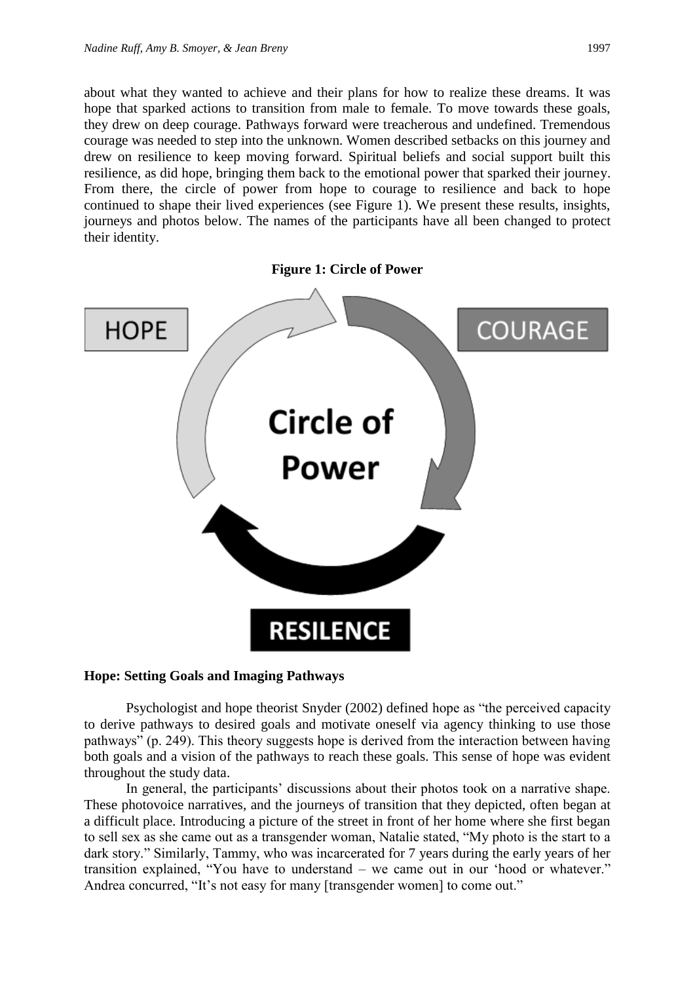about what they wanted to achieve and their plans for how to realize these dreams. It was hope that sparked actions to transition from male to female. To move towards these goals, they drew on deep courage. Pathways forward were treacherous and undefined. Tremendous courage was needed to step into the unknown. Women described setbacks on this journey and drew on resilience to keep moving forward. Spiritual beliefs and social support built this resilience, as did hope, bringing them back to the emotional power that sparked their journey. From there, the circle of power from hope to courage to resilience and back to hope continued to shape their lived experiences (see Figure 1). We present these results, insights, journeys and photos below. The names of the participants have all been changed to protect their identity.



# **Hope: Setting Goals and Imaging Pathways**

Psychologist and hope theorist Snyder (2002) defined hope as "the perceived capacity to derive pathways to desired goals and motivate oneself via agency thinking to use those pathways" (p. 249). This theory suggests hope is derived from the interaction between having both goals and a vision of the pathways to reach these goals. This sense of hope was evident throughout the study data.

In general, the participants' discussions about their photos took on a narrative shape. These photovoice narratives, and the journeys of transition that they depicted, often began at a difficult place. Introducing a picture of the street in front of her home where she first began to sell sex as she came out as a transgender woman, Natalie stated, "My photo is the start to a dark story." Similarly, Tammy, who was incarcerated for 7 years during the early years of her transition explained, "You have to understand – we came out in our 'hood or whatever." Andrea concurred, "It's not easy for many [transgender women] to come out."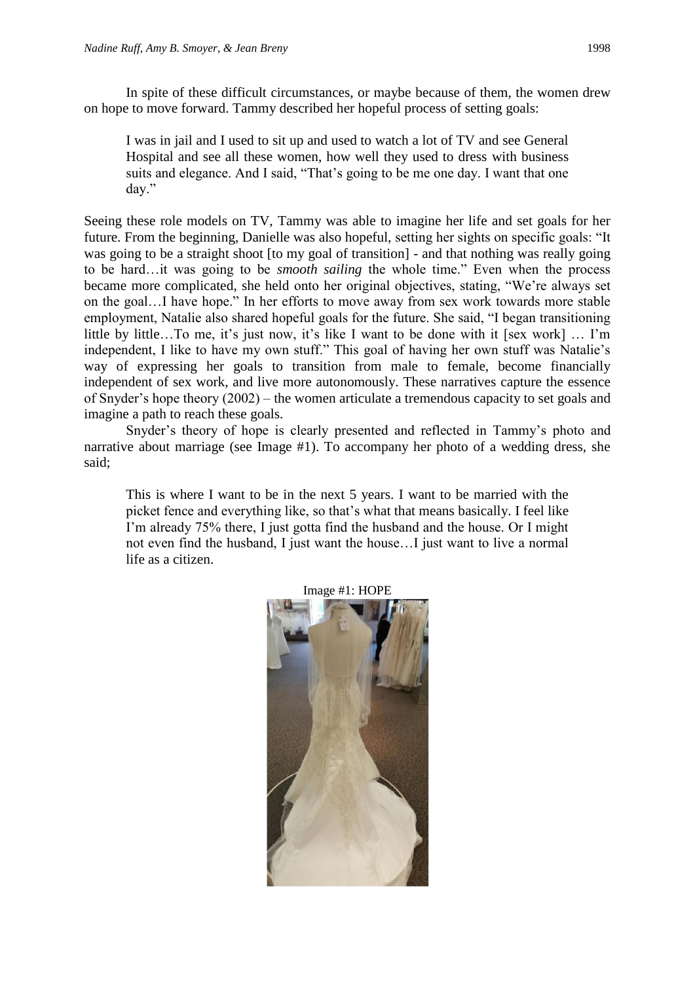In spite of these difficult circumstances, or maybe because of them, the women drew on hope to move forward. Tammy described her hopeful process of setting goals:

I was in jail and I used to sit up and used to watch a lot of TV and see General Hospital and see all these women, how well they used to dress with business suits and elegance. And I said, "That's going to be me one day. I want that one day."

Seeing these role models on TV, Tammy was able to imagine her life and set goals for her future. From the beginning, Danielle was also hopeful, setting her sights on specific goals: "It was going to be a straight shoot [to my goal of transition] - and that nothing was really going to be hard…it was going to be *smooth sailing* the whole time." Even when the process became more complicated, she held onto her original objectives, stating, "We're always set on the goal…I have hope." In her efforts to move away from sex work towards more stable employment, Natalie also shared hopeful goals for the future. She said, "I began transitioning little by little…To me, it's just now, it's like I want to be done with it [sex work] … I'm independent, I like to have my own stuff." This goal of having her own stuff was Natalie's way of expressing her goals to transition from male to female, become financially independent of sex work, and live more autonomously. These narratives capture the essence of Snyder's hope theory (2002) – the women articulate a tremendous capacity to set goals and imagine a path to reach these goals.

Snyder's theory of hope is clearly presented and reflected in Tammy's photo and narrative about marriage (see Image #1). To accompany her photo of a wedding dress, she said;

This is where I want to be in the next 5 years. I want to be married with the picket fence and everything like, so that's what that means basically. I feel like I'm already 75% there, I just gotta find the husband and the house. Or I might not even find the husband, I just want the house…I just want to live a normal life as a citizen.



Image #1: HOPE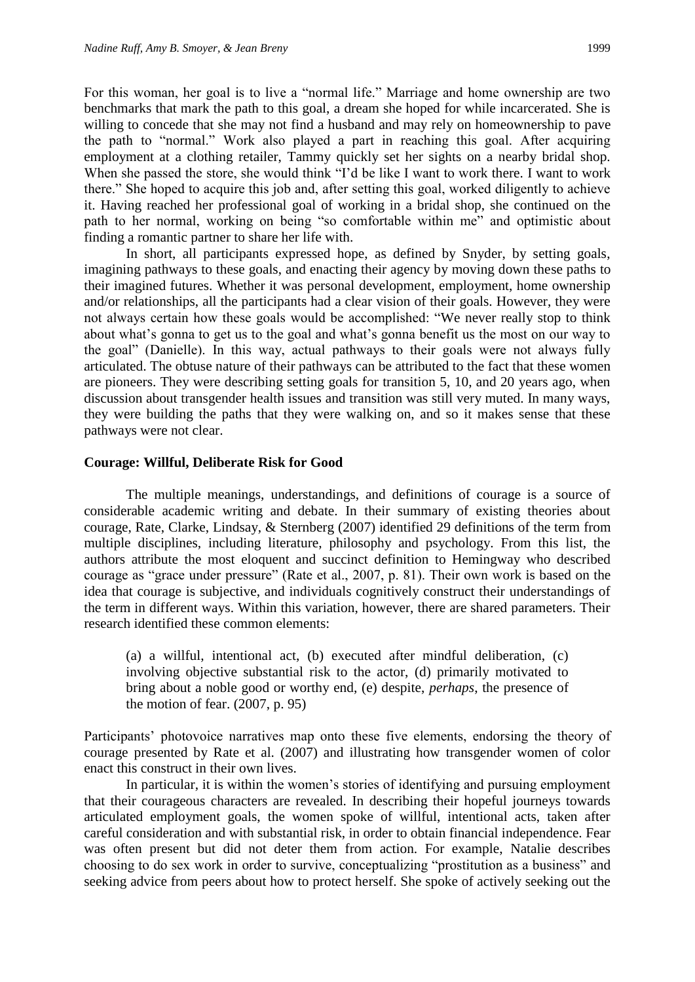For this woman, her goal is to live a "normal life." Marriage and home ownership are two benchmarks that mark the path to this goal, a dream she hoped for while incarcerated. She is willing to concede that she may not find a husband and may rely on homeownership to pave the path to "normal." Work also played a part in reaching this goal. After acquiring employment at a clothing retailer, Tammy quickly set her sights on a nearby bridal shop. When she passed the store, she would think "I'd be like I want to work there. I want to work there." She hoped to acquire this job and, after setting this goal, worked diligently to achieve it. Having reached her professional goal of working in a bridal shop, she continued on the path to her normal, working on being "so comfortable within me" and optimistic about finding a romantic partner to share her life with.

In short, all participants expressed hope, as defined by Snyder, by setting goals, imagining pathways to these goals, and enacting their agency by moving down these paths to their imagined futures. Whether it was personal development, employment, home ownership and/or relationships, all the participants had a clear vision of their goals. However, they were not always certain how these goals would be accomplished: "We never really stop to think about what's gonna to get us to the goal and what's gonna benefit us the most on our way to the goal" (Danielle). In this way, actual pathways to their goals were not always fully articulated. The obtuse nature of their pathways can be attributed to the fact that these women are pioneers. They were describing setting goals for transition 5, 10, and 20 years ago, when discussion about transgender health issues and transition was still very muted. In many ways, they were building the paths that they were walking on, and so it makes sense that these pathways were not clear.

# **Courage: Willful, Deliberate Risk for Good**

The multiple meanings, understandings, and definitions of courage is a source of considerable academic writing and debate. In their summary of existing theories about courage, Rate, Clarke, Lindsay, & Sternberg (2007) identified 29 definitions of the term from multiple disciplines, including literature, philosophy and psychology. From this list, the authors attribute the most eloquent and succinct definition to Hemingway who described courage as "grace under pressure" (Rate et al., 2007, p. 81). Their own work is based on the idea that courage is subjective, and individuals cognitively construct their understandings of the term in different ways. Within this variation, however, there are shared parameters. Their research identified these common elements:

(a) a willful, intentional act, (b) executed after mindful deliberation, (c) involving objective substantial risk to the actor, (d) primarily motivated to bring about a noble good or worthy end, (e) despite, *perhaps*, the presence of the motion of fear. (2007, p. 95)

Participants' photovoice narratives map onto these five elements, endorsing the theory of courage presented by Rate et al. (2007) and illustrating how transgender women of color enact this construct in their own lives.

In particular, it is within the women's stories of identifying and pursuing employment that their courageous characters are revealed. In describing their hopeful journeys towards articulated employment goals, the women spoke of willful, intentional acts, taken after careful consideration and with substantial risk, in order to obtain financial independence. Fear was often present but did not deter them from action. For example, Natalie describes choosing to do sex work in order to survive, conceptualizing "prostitution as a business" and seeking advice from peers about how to protect herself. She spoke of actively seeking out the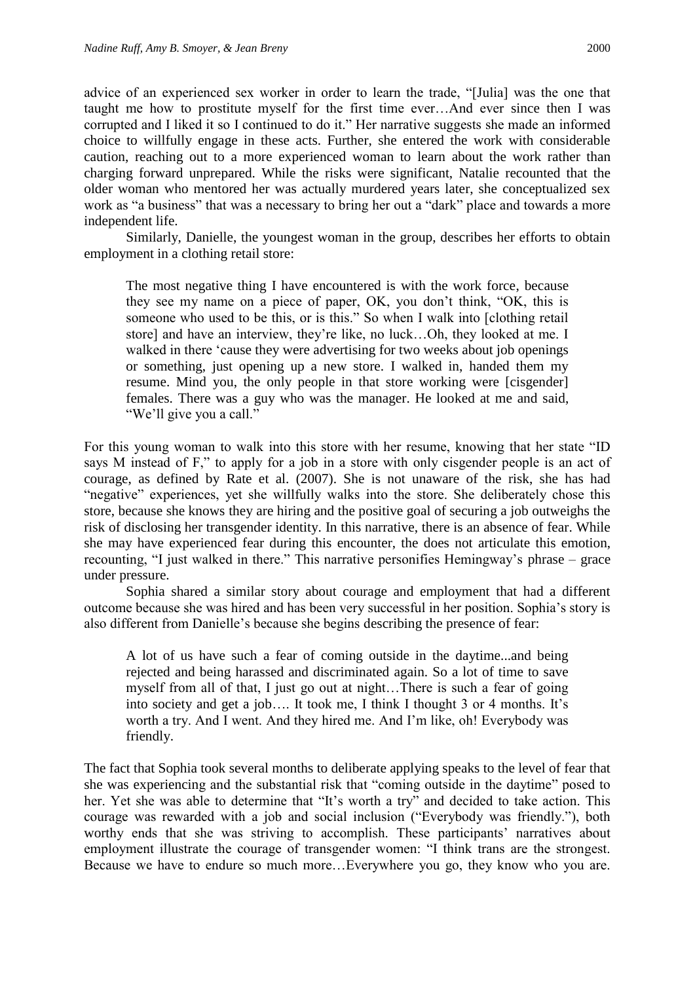advice of an experienced sex worker in order to learn the trade, "[Julia] was the one that taught me how to prostitute myself for the first time ever…And ever since then I was corrupted and I liked it so I continued to do it." Her narrative suggests she made an informed choice to willfully engage in these acts. Further, she entered the work with considerable caution, reaching out to a more experienced woman to learn about the work rather than charging forward unprepared. While the risks were significant, Natalie recounted that the older woman who mentored her was actually murdered years later, she conceptualized sex work as "a business" that was a necessary to bring her out a "dark" place and towards a more independent life.

Similarly, Danielle, the youngest woman in the group, describes her efforts to obtain employment in a clothing retail store:

The most negative thing I have encountered is with the work force, because they see my name on a piece of paper, OK, you don't think, "OK, this is someone who used to be this, or is this." So when I walk into [clothing retail store] and have an interview, they're like, no luck…Oh, they looked at me. I walked in there 'cause they were advertising for two weeks about job openings or something, just opening up a new store. I walked in, handed them my resume. Mind you, the only people in that store working were [cisgender] females. There was a guy who was the manager. He looked at me and said, "We'll give you a call."

For this young woman to walk into this store with her resume, knowing that her state "ID says M instead of F," to apply for a job in a store with only cisgender people is an act of courage, as defined by Rate et al. (2007). She is not unaware of the risk, she has had "negative" experiences, yet she willfully walks into the store. She deliberately chose this store, because she knows they are hiring and the positive goal of securing a job outweighs the risk of disclosing her transgender identity. In this narrative, there is an absence of fear. While she may have experienced fear during this encounter, the does not articulate this emotion, recounting, "I just walked in there." This narrative personifies Hemingway's phrase – grace under pressure.

Sophia shared a similar story about courage and employment that had a different outcome because she was hired and has been very successful in her position. Sophia's story is also different from Danielle's because she begins describing the presence of fear:

A lot of us have such a fear of coming outside in the daytime...and being rejected and being harassed and discriminated again. So a lot of time to save myself from all of that, I just go out at night…There is such a fear of going into society and get a job…. It took me, I think I thought 3 or 4 months. It's worth a try. And I went. And they hired me. And I'm like, oh! Everybody was friendly.

The fact that Sophia took several months to deliberate applying speaks to the level of fear that she was experiencing and the substantial risk that "coming outside in the daytime" posed to her. Yet she was able to determine that "It's worth a try" and decided to take action. This courage was rewarded with a job and social inclusion ("Everybody was friendly."), both worthy ends that she was striving to accomplish. These participants' narratives about employment illustrate the courage of transgender women: "I think trans are the strongest. Because we have to endure so much more…Everywhere you go, they know who you are.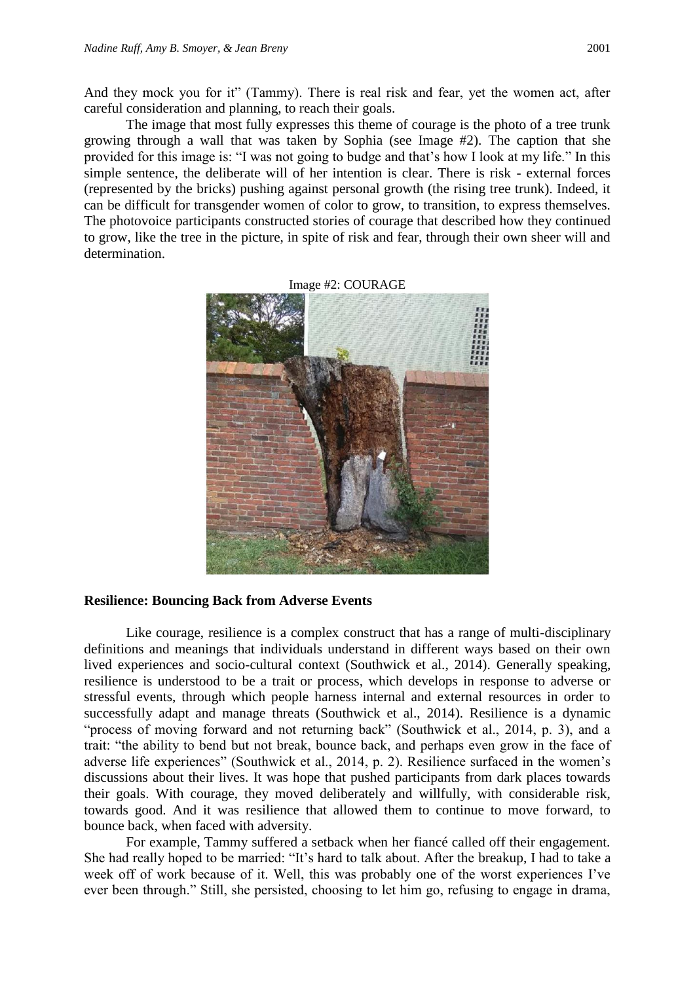And they mock you for it" (Tammy). There is real risk and fear, yet the women act, after careful consideration and planning, to reach their goals.

The image that most fully expresses this theme of courage is the photo of a tree trunk growing through a wall that was taken by Sophia (see Image #2). The caption that she provided for this image is: "I was not going to budge and that's how I look at my life." In this simple sentence, the deliberate will of her intention is clear. There is risk - external forces (represented by the bricks) pushing against personal growth (the rising tree trunk). Indeed, it can be difficult for transgender women of color to grow, to transition, to express themselves. The photovoice participants constructed stories of courage that described how they continued to grow, like the tree in the picture, in spite of risk and fear, through their own sheer will and determination.



#### **Resilience: Bouncing Back from Adverse Events**

Like courage, resilience is a complex construct that has a range of multi-disciplinary definitions and meanings that individuals understand in different ways based on their own lived experiences and socio-cultural context (Southwick et al., 2014). Generally speaking, resilience is understood to be a trait or process, which develops in response to adverse or stressful events, through which people harness internal and external resources in order to successfully adapt and manage threats (Southwick et al., 2014). Resilience is a dynamic "process of moving forward and not returning back" (Southwick et al., 2014, p. 3), and a trait: "the ability to bend but not break, bounce back, and perhaps even grow in the face of adverse life experiences" (Southwick et al., 2014, p. 2). Resilience surfaced in the women's discussions about their lives. It was hope that pushed participants from dark places towards their goals. With courage, they moved deliberately and willfully, with considerable risk, towards good. And it was resilience that allowed them to continue to move forward, to bounce back, when faced with adversity.

For example, Tammy suffered a setback when her fiancé called off their engagement. She had really hoped to be married: "It's hard to talk about. After the breakup, I had to take a week off of work because of it. Well, this was probably one of the worst experiences I've ever been through." Still, she persisted, choosing to let him go, refusing to engage in drama,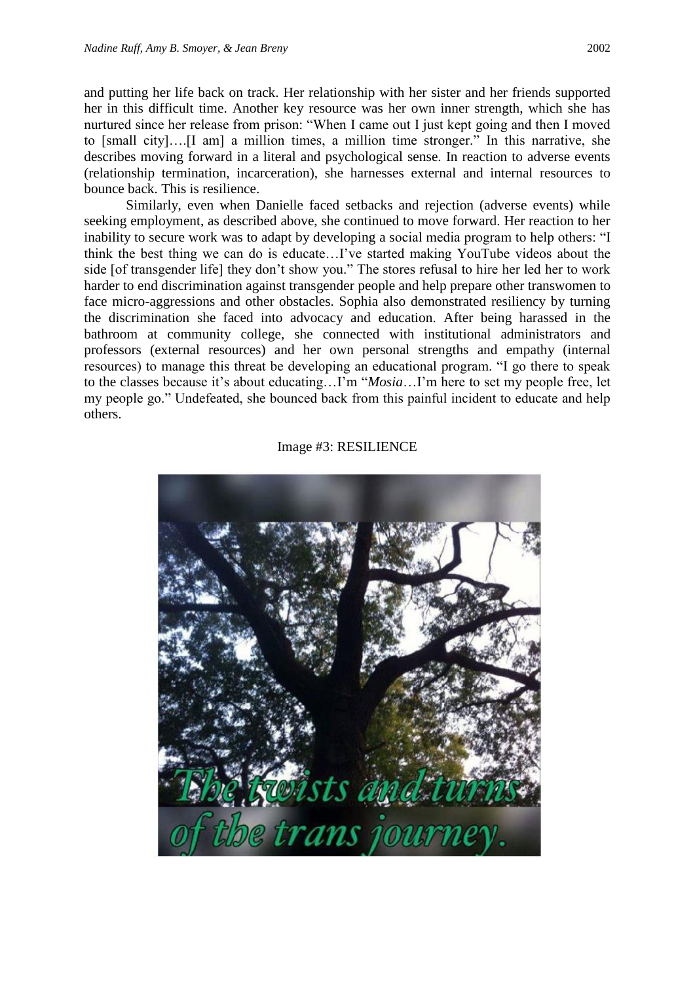and putting her life back on track. Her relationship with her sister and her friends supported her in this difficult time. Another key resource was her own inner strength, which she has nurtured since her release from prison: "When I came out I just kept going and then I moved to [small city]….[I am] a million times, a million time stronger." In this narrative, she describes moving forward in a literal and psychological sense. In reaction to adverse events (relationship termination, incarceration), she harnesses external and internal resources to bounce back. This is resilience.

Similarly, even when Danielle faced setbacks and rejection (adverse events) while seeking employment, as described above, she continued to move forward. Her reaction to her inability to secure work was to adapt by developing a social media program to help others: "I think the best thing we can do is educate…I've started making YouTube videos about the side [of transgender life] they don't show you." The stores refusal to hire her led her to work harder to end discrimination against transgender people and help prepare other transwomen to face micro-aggressions and other obstacles. Sophia also demonstrated resiliency by turning the discrimination she faced into advocacy and education. After being harassed in the bathroom at community college, she connected with institutional administrators and professors (external resources) and her own personal strengths and empathy (internal resources) to manage this threat be developing an educational program. "I go there to speak to the classes because it's about educating…I'm "*Mosia*…I'm here to set my people free, let my people go." Undefeated, she bounced back from this painful incident to educate and help others.



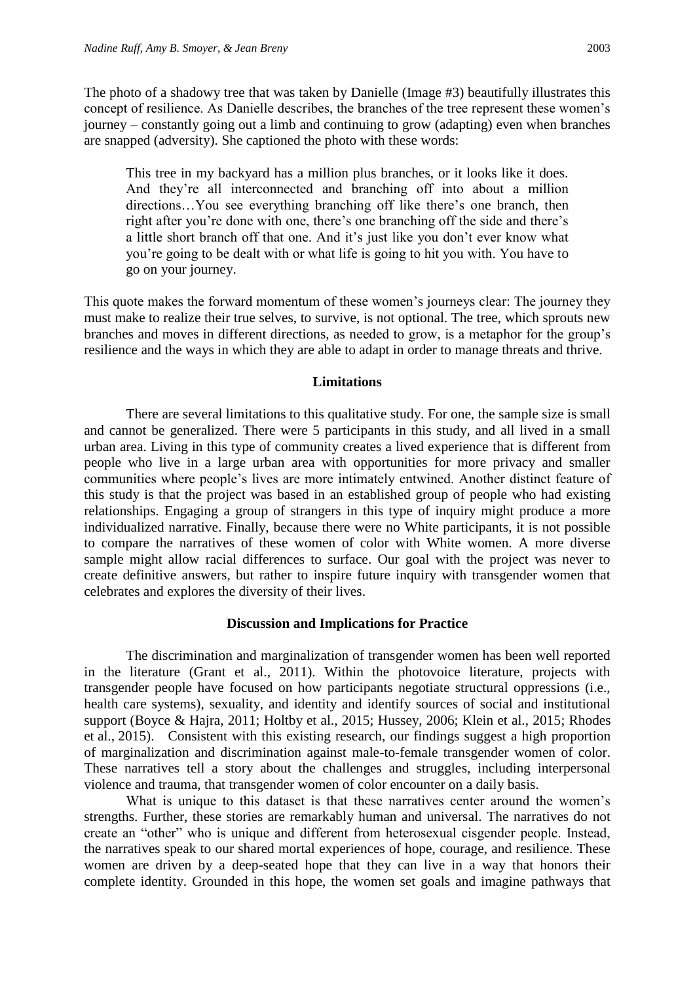The photo of a shadowy tree that was taken by Danielle (Image #3) beautifully illustrates this concept of resilience. As Danielle describes, the branches of the tree represent these women's journey – constantly going out a limb and continuing to grow (adapting) even when branches are snapped (adversity). She captioned the photo with these words:

This tree in my backyard has a million plus branches, or it looks like it does. And they're all interconnected and branching off into about a million directions…You see everything branching off like there's one branch, then right after you're done with one, there's one branching off the side and there's a little short branch off that one. And it's just like you don't ever know what you're going to be dealt with or what life is going to hit you with. You have to go on your journey.

This quote makes the forward momentum of these women's journeys clear: The journey they must make to realize their true selves, to survive, is not optional. The tree, which sprouts new branches and moves in different directions, as needed to grow, is a metaphor for the group's resilience and the ways in which they are able to adapt in order to manage threats and thrive.

### **Limitations**

There are several limitations to this qualitative study. For one, the sample size is small and cannot be generalized. There were 5 participants in this study, and all lived in a small urban area. Living in this type of community creates a lived experience that is different from people who live in a large urban area with opportunities for more privacy and smaller communities where people's lives are more intimately entwined. Another distinct feature of this study is that the project was based in an established group of people who had existing relationships. Engaging a group of strangers in this type of inquiry might produce a more individualized narrative. Finally, because there were no White participants, it is not possible to compare the narratives of these women of color with White women. A more diverse sample might allow racial differences to surface. Our goal with the project was never to create definitive answers, but rather to inspire future inquiry with transgender women that celebrates and explores the diversity of their lives.

# **Discussion and Implications for Practice**

The discrimination and marginalization of transgender women has been well reported in the literature (Grant et al., 2011). Within the photovoice literature, projects with transgender people have focused on how participants negotiate structural oppressions (i.e., health care systems), sexuality, and identity and identify sources of social and institutional support (Boyce & Hajra, 2011; Holtby et al., 2015; Hussey, 2006; Klein et al., 2015; Rhodes et al., 2015). Consistent with this existing research, our findings suggest a high proportion of marginalization and discrimination against male-to-female transgender women of color. These narratives tell a story about the challenges and struggles, including interpersonal violence and trauma, that transgender women of color encounter on a daily basis.

What is unique to this dataset is that these narratives center around the women's strengths. Further, these stories are remarkably human and universal. The narratives do not create an "other" who is unique and different from heterosexual cisgender people. Instead, the narratives speak to our shared mortal experiences of hope, courage, and resilience. These women are driven by a deep-seated hope that they can live in a way that honors their complete identity. Grounded in this hope, the women set goals and imagine pathways that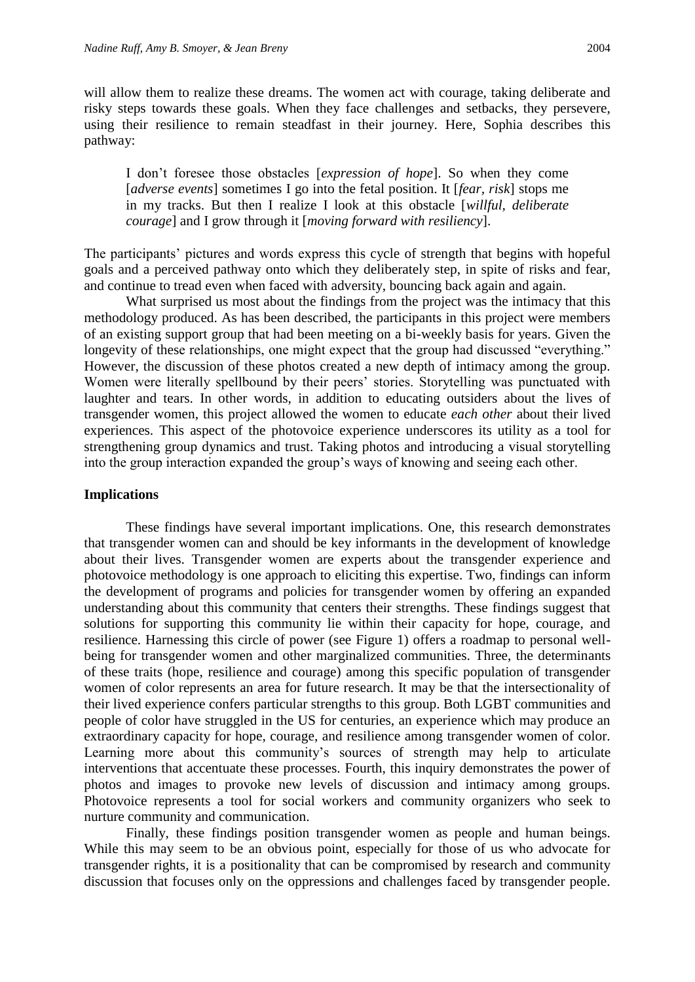will allow them to realize these dreams. The women act with courage, taking deliberate and risky steps towards these goals. When they face challenges and setbacks, they persevere, using their resilience to remain steadfast in their journey. Here, Sophia describes this pathway:

I don't foresee those obstacles [*expression of hope*]. So when they come [*adverse events*] sometimes I go into the fetal position. It [*fear, risk*] stops me in my tracks. But then I realize I look at this obstacle [*willful, deliberate courage*] and I grow through it [*moving forward with resiliency*].

The participants' pictures and words express this cycle of strength that begins with hopeful goals and a perceived pathway onto which they deliberately step, in spite of risks and fear, and continue to tread even when faced with adversity, bouncing back again and again.

What surprised us most about the findings from the project was the intimacy that this methodology produced. As has been described, the participants in this project were members of an existing support group that had been meeting on a bi-weekly basis for years. Given the longevity of these relationships, one might expect that the group had discussed "everything." However, the discussion of these photos created a new depth of intimacy among the group. Women were literally spellbound by their peers' stories. Storytelling was punctuated with laughter and tears. In other words, in addition to educating outsiders about the lives of transgender women, this project allowed the women to educate *each other* about their lived experiences. This aspect of the photovoice experience underscores its utility as a tool for strengthening group dynamics and trust. Taking photos and introducing a visual storytelling into the group interaction expanded the group's ways of knowing and seeing each other.

# **Implications**

These findings have several important implications. One, this research demonstrates that transgender women can and should be key informants in the development of knowledge about their lives. Transgender women are experts about the transgender experience and photovoice methodology is one approach to eliciting this expertise. Two, findings can inform the development of programs and policies for transgender women by offering an expanded understanding about this community that centers their strengths. These findings suggest that solutions for supporting this community lie within their capacity for hope, courage, and resilience. Harnessing this circle of power (see Figure 1) offers a roadmap to personal wellbeing for transgender women and other marginalized communities. Three, the determinants of these traits (hope, resilience and courage) among this specific population of transgender women of color represents an area for future research. It may be that the intersectionality of their lived experience confers particular strengths to this group. Both LGBT communities and people of color have struggled in the US for centuries, an experience which may produce an extraordinary capacity for hope, courage, and resilience among transgender women of color. Learning more about this community's sources of strength may help to articulate interventions that accentuate these processes. Fourth, this inquiry demonstrates the power of photos and images to provoke new levels of discussion and intimacy among groups. Photovoice represents a tool for social workers and community organizers who seek to nurture community and communication.

Finally, these findings position transgender women as people and human beings. While this may seem to be an obvious point, especially for those of us who advocate for transgender rights, it is a positionality that can be compromised by research and community discussion that focuses only on the oppressions and challenges faced by transgender people.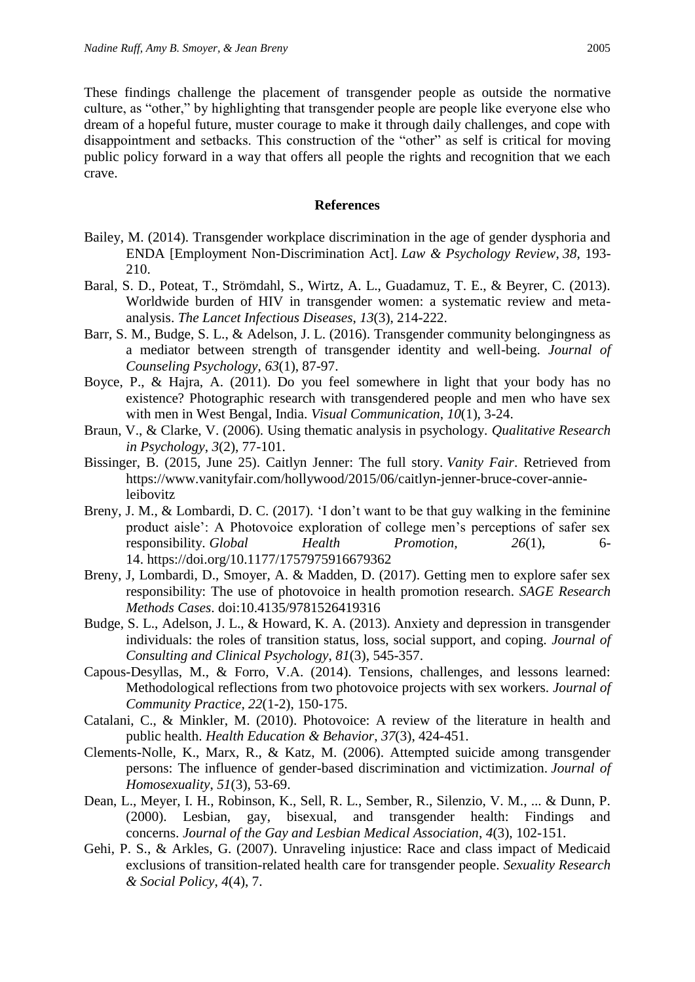These findings challenge the placement of transgender people as outside the normative culture, as "other," by highlighting that transgender people are people like everyone else who dream of a hopeful future, muster courage to make it through daily challenges, and cope with disappointment and setbacks. This construction of the "other" as self is critical for moving public policy forward in a way that offers all people the rights and recognition that we each crave.

#### **References**

- Bailey, M. (2014). Transgender workplace discrimination in the age of gender dysphoria and ENDA [Employment Non-Discrimination Act]. *Law & Psychology Review*, *38*, 193- 210.
- Baral, S. D., Poteat, T., Strömdahl, S., Wirtz, A. L., Guadamuz, T. E., & Beyrer, C. (2013). Worldwide burden of HIV in transgender women: a systematic review and metaanalysis. *The Lancet Infectious Diseases*, *13*(3), 214-222.
- Barr, S. M., Budge, S. L., & Adelson, J. L. (2016). Transgender community belongingness as a mediator between strength of transgender identity and well-being. *Journal of Counseling Psychology*, *63*(1), 87-97.
- Boyce, P., & Hajra, A. (2011). Do you feel somewhere in light that your body has no existence? Photographic research with transgendered people and men who have sex with men in West Bengal, India. *Visual Communication*, *10*(1), 3-24.
- Braun, V., & Clarke, V. (2006). Using thematic analysis in psychology. *Qualitative Research in Psychology*, *3*(2), 77-101.
- Bissinger, B. (2015, June 25). Caitlyn Jenner: The full story. *Vanity Fair*. Retrieved from [https://www.vanityfair.com/hollywood/2015/06/caitlyn-jenner-bruce-cover-annie](https://www.vanityfair.com/hollywood/2015/06/caitlyn-jenner-bruce-cover-annie-leibovitz)[leibovitz](https://www.vanityfair.com/hollywood/2015/06/caitlyn-jenner-bruce-cover-annie-leibovitz)
- Breny, J. M., & Lombardi, D. C. (2017). 'I don't want to be that guy walking in the feminine product aisle': A Photovoice exploration of college men's perceptions of safer sex responsibility. *Global Health Promotion, 26*(1), 6- 14. <https://doi.org/10.1177/1757975916679362>
- Breny, J, Lombardi, D., Smoyer, A. & Madden, D. (2017). Getting men to explore safer sex responsibility: The use of photovoice in health promotion research. *SAGE Research Methods Cases*. doi:10.4135/9781526419316
- Budge, S. L., Adelson, J. L., & Howard, K. A. (2013). Anxiety and depression in transgender individuals: the roles of transition status, loss, social support, and coping. *Journal of Consulting and Clinical Psychology*, *81*(3), 545-357.
- Capous-Desyllas, M., & Forro, V.A. (2014). Tensions, challenges, and lessons learned: Methodological reflections from two photovoice projects with sex workers. *Journal of Community Practice, 22*(1-2), 150-175.
- Catalani, C., & Minkler, M. (2010). Photovoice: A review of the literature in health and public health. *Health Education & Behavior*, *37*(3), 424-451.
- Clements-Nolle, K., Marx, R., & Katz, M. (2006). Attempted suicide among transgender persons: The influence of gender-based discrimination and victimization. *Journal of Homosexuality*, *51*(3), 53-69.
- Dean, L., Meyer, I. H., Robinson, K., Sell, R. L., Sember, R., Silenzio, V. M., ... & Dunn, P. (2000). Lesbian, gay, bisexual, and transgender health: Findings and concerns. *Journal of the Gay and Lesbian Medical Association*, *4*(3), 102-151.
- Gehi, P. S., & Arkles, G. (2007). Unraveling injustice: Race and class impact of Medicaid exclusions of transition-related health care for transgender people. *Sexuality Research & Social Policy*, *4*(4), 7.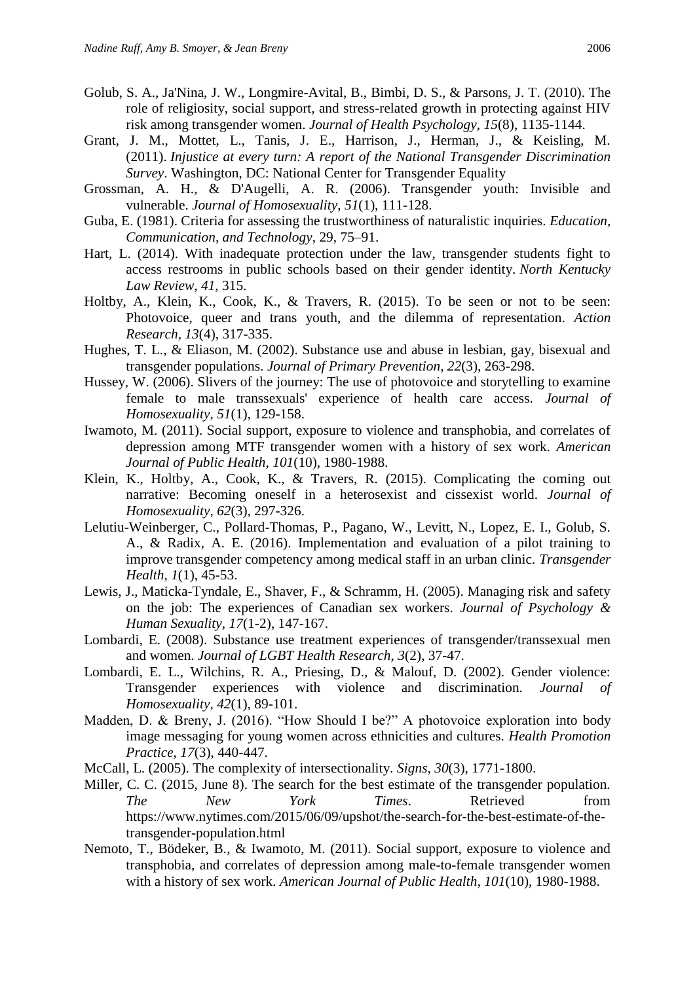- Golub, S. A., Ja'Nina, J. W., Longmire-Avital, B., Bimbi, D. S., & Parsons, J. T. (2010). The role of religiosity, social support, and stress-related growth in protecting against HIV risk among transgender women. *Journal of Health Psychology*, *15*(8), 1135-1144.
- Grant, J. M., Mottet, L., Tanis, J. E., Harrison, J., Herman, J., & Keisling, M. (2011). *Injustice at every turn: A report of the National Transgender Discrimination Survey*. Washington, DC: National Center for Transgender Equality
- Grossman, A. H., & D'Augelli, A. R. (2006). Transgender youth: Invisible and vulnerable. *Journal of Homosexuality*, *51*(1), 111-128.
- Guba, E. (1981). Criteria for assessing the trustworthiness of naturalistic inquiries. *Education, Communication, and Technology*, 29, 75–91.
- Hart, L. (2014). With inadequate protection under the law, transgender students fight to access restrooms in public schools based on their gender identity. *North Kentucky Law Review*, *41*, 315.
- Holtby, A., Klein, K., Cook, K., & Travers, R. (2015). To be seen or not to be seen: Photovoice, queer and trans youth, and the dilemma of representation. *Action Research, 13*(4), 317-335.
- Hughes, T. L., & Eliason, M. (2002). Substance use and abuse in lesbian, gay, bisexual and transgender populations. *Journal of Primary Prevention*, *22*(3), 263-298.
- Hussey, W. (2006). Slivers of the journey: The use of photovoice and storytelling to examine female to male transsexuals' experience of health care access. *Journal of Homosexuality*, *51*(1), 129-158.
- Iwamoto, M. (2011). Social support, exposure to violence and transphobia, and correlates of depression among MTF transgender women with a history of sex work. *American Journal of Public Health*, *101*(10), 1980-1988.
- Klein, K., Holtby, A., Cook, K., & Travers, R. (2015). Complicating the coming out narrative: Becoming oneself in a heterosexist and cissexist world. *Journal of Homosexuality*, *62*(3), 297-326.
- Lelutiu-Weinberger, C., Pollard-Thomas, P., Pagano, W., Levitt, N., Lopez, E. I., Golub, S. A., & Radix, A. E. (2016). Implementation and evaluation of a pilot training to improve transgender competency among medical staff in an urban clinic. *Transgender Health*, *1*(1), 45-53.
- Lewis, J., Maticka-Tyndale, E., Shaver, F., & Schramm, H. (2005). Managing risk and safety on the job: The experiences of Canadian sex workers. *Journal of Psychology & Human Sexuality*, *17*(1-2), 147-167.
- Lombardi, E. (2008). Substance use treatment experiences of transgender/transsexual men and women. *Journal of LGBT Health Research*, *3*(2), 37-47.
- Lombardi, E. L., Wilchins, R. A., Priesing, D., & Malouf, D. (2002). Gender violence: Transgender experiences with violence and discrimination. *Journal of Homosexuality*, *42*(1), 89-101.
- Madden, D. & Breny, J. (2016). "How Should I be?" A photovoice exploration into body image messaging for young women across ethnicities and cultures. *Health Promotion Practice, 17*(3), 440-447.
- McCall, L. (2005). The complexity of intersectionality. *Signs*, *30*(3), 1771-1800.
- Miller, C. C. (2015, June 8). The search for the best estimate of the transgender population. *The New York Times*. Retrieved from [https://www.nytimes.com/2015/06/09/upshot/the-search-for-the-best-estimate-of-the](https://www.nytimes.com/2015/06/09/upshot/the-search-for-the-best-estimate-of-the-transgender-population.html)[transgender-population.html](https://www.nytimes.com/2015/06/09/upshot/the-search-for-the-best-estimate-of-the-transgender-population.html)
- Nemoto, T., Bödeker, B., & Iwamoto, M. (2011). Social support, exposure to violence and transphobia, and correlates of depression among male-to-female transgender women with a history of sex work. *American Journal of Public Health*, *101*(10), 1980-1988.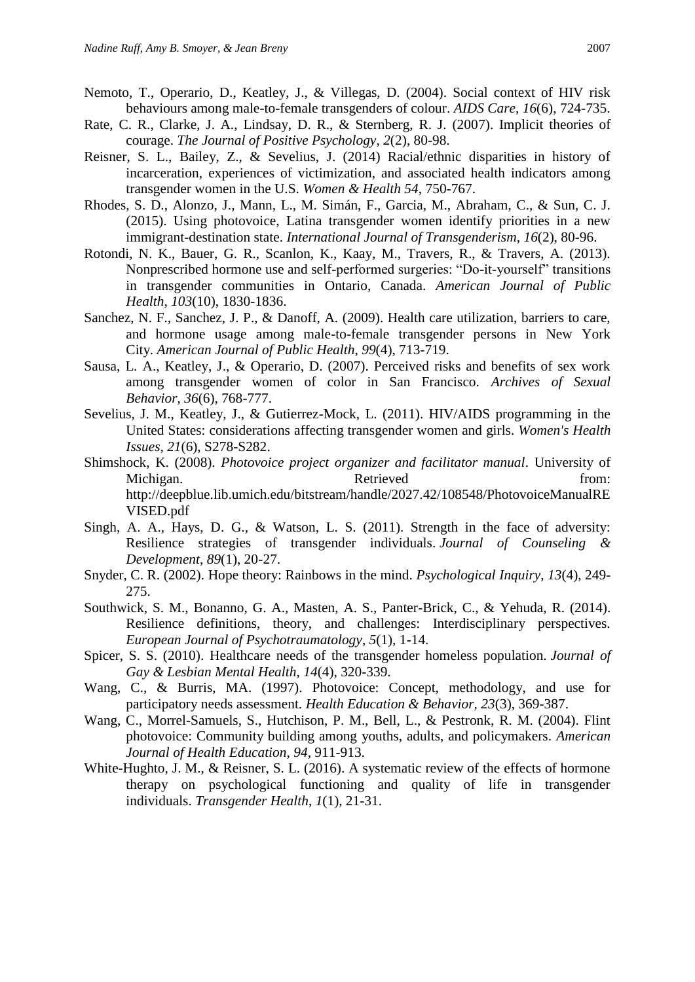- Nemoto, T., Operario, D., Keatley, J., & Villegas, D. (2004). Social context of HIV risk behaviours among male-to-female transgenders of colour. *AIDS Care*, *16*(6), 724-735.
- Rate, C. R., Clarke, J. A., Lindsay, D. R., & Sternberg, R. J. (2007). Implicit theories of courage. *The Journal of Positive Psychology*, *2*(2), 80-98.
- Reisner, S. L., Bailey, Z., & Sevelius, J. (2014) Racial/ethnic disparities in history of incarceration, experiences of victimization, and associated health indicators among transgender women in the U.S. *Women & Health 54*, 750-767.
- Rhodes, S. D., Alonzo, J., Mann, L., M. Simán, F., Garcia, M., Abraham, C., & Sun, C. J. (2015). Using photovoice, Latina transgender women identify priorities in a new immigrant-destination state. *International Journal of Transgenderism*, *16*(2), 80-96.
- Rotondi, N. K., Bauer, G. R., Scanlon, K., Kaay, M., Travers, R., & Travers, A. (2013). Nonprescribed hormone use and self-performed surgeries: "Do-it-yourself" transitions in transgender communities in Ontario, Canada. *American Journal of Public Health*, *103*(10), 1830-1836.
- Sanchez, N. F., Sanchez, J. P., & Danoff, A. (2009). Health care utilization, barriers to care, and hormone usage among male-to-female transgender persons in New York City. *American Journal of Public Health*, *99*(4), 713-719.
- Sausa, L. A., Keatley, J., & Operario, D. (2007). Perceived risks and benefits of sex work among transgender women of color in San Francisco. *Archives of Sexual Behavior*, *36*(6), 768-777.
- Sevelius, J. M., Keatley, J., & Gutierrez-Mock, L. (2011). HIV/AIDS programming in the United States: considerations affecting transgender women and girls. *Women's Health Issues*, *21*(6), S278-S282.
- Shimshock, K. (2008). *Photovoice project organizer and facilitator manual*. University of Michigan. Retrieved from: [http://deepblue.lib.umich.edu/bitstream/handle/2027.42/108548/PhotovoiceManualRE](http://deepblue.lib.umich.edu/bitstream/handle/2027.42/108548/PhotovoiceManualREVISED.pdf) [VISED.pdf](http://deepblue.lib.umich.edu/bitstream/handle/2027.42/108548/PhotovoiceManualREVISED.pdf)
- Singh, A. A., Hays, D. G., & Watson, L. S. (2011). Strength in the face of adversity: Resilience strategies of transgender individuals. *Journal of Counseling & Development*, *89*(1), 20-27.
- Snyder, C. R. (2002). Hope theory: Rainbows in the mind. *Psychological Inquiry*, *13*(4), 249- 275.
- Southwick, S. M., Bonanno, G. A., Masten, A. S., Panter-Brick, C., & Yehuda, R. (2014). Resilience definitions, theory, and challenges: Interdisciplinary perspectives. *European Journal of Psychotraumatology*, *5*(1), 1-14.
- Spicer, S. S. (2010). Healthcare needs of the transgender homeless population. *Journal of Gay & Lesbian Mental Health*, *14*(4), 320-339.
- Wang, C., & Burris, MA. (1997). Photovoice: Concept, methodology, and use for participatory needs assessment. *Health Education & Behavior, 23*(3), 369-387.
- Wang, C., Morrel-Samuels, S., Hutchison, P. M., Bell, L., & Pestronk, R. M. (2004). Flint photovoice: Community building among youths, adults, and policymakers. *American Journal of Health Education*, *94*, 911-913.
- White-Hughto, J. M., & Reisner, S. L. (2016). A systematic review of the effects of hormone therapy on psychological functioning and quality of life in transgender individuals. *Transgender Health*, *1*(1), 21-31.